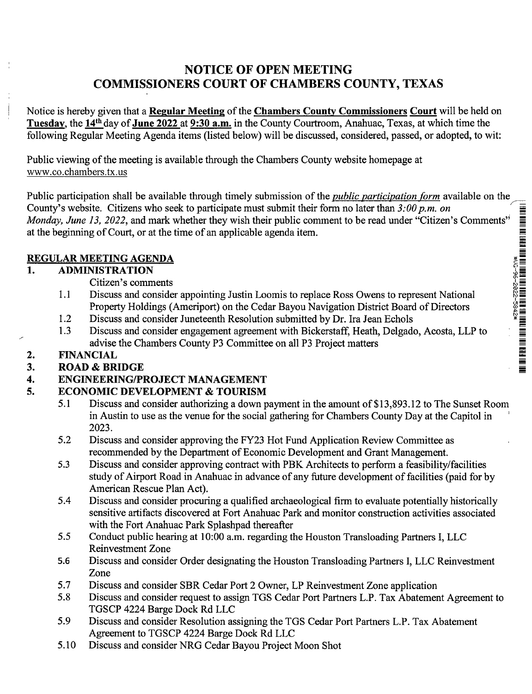# NOTICE OF OPEN MEETING COMMISSIONERS COURT OF CHAMBERS COUNTY, TEXAS

Notice is hereby given that a Regular Meeting of the Chambers County Commissioners Court will be held on Tuesday, the 14th day of June 2022 at 9:30 a.m. in the County Courtroom, Anahuac, Texas, at which time the following Regular Meeting Agenda items (listed below) will be discussed, considered, passed, or adopted, to wit:

Public viewing of the meeting is available through the Chambers County website homepage at www.co.chambers.tx.us

Public participation shall be available through timely submission of the *public participation form* available on the County's website. Citizens who seek to participate must submit their form no later than  $3:00 \, p.m.$  on County's website. Citizens who seek to participate must submit their form no later than 3:00 p.m. on<br>
Monday, June 13, 2022, and mark whether they wish their public comment to be read under "Citizen's Comments"<br>
at the be at the beginning of Court, or at the time of an applicable agenda item.

#### REGULAR MEETING AGENDA

#### 1. ADMINISTRATION

- Citizen's comments
- 1.1 Discuss and consider appointing Justin Loomis to replace Ross Owens to represent National Property Holdings (Ameriport) on the Cedar Bayou Navigation District Board of Directors
- 1.2 Discuss and consider Juneteenth Resolution submitted by Dr. Ira Jean Echols
- 1.3 Discuss and consider engagement agreement with Bickerstaff, Heath, Delgado, Acosta, LLP to advise the Chambers County P3 Committee on all P3 Project matters

## 2. FINANCIAL

## 3. ROAD & BRIDGE

## 4. ENGINEERING/PROJECT MANAGEMENT

## 5. ECONOMIC DEVELOPMENT & TOURISM

- 5.1 Discuss and consider authorizing a down payment in the amount of \$13,893.12 to The Sunset Room in Austin to use as the venue for the social gathering for Chambers County Day at the Capitol in 2023.
- 5.2 Discuss and consider approving the FY23 Hot Fund Application Review Committee as recommended by the Department of Economic Development and Grant Management.
- 5.3 Discuss and consider approving contract with PBK Architects to perform a feasibility/facilities study of Airport Road in Anahuac in advance of any future development of facilities (paid for by American Rescue Plan Act).
- 5.4 Discuss and consider procuring a qualified archaeological firm to evaluate potentially historically sensitive artifacts discovered at Fort Anahuac Park and monitor construction activities associated with the Fort Anahuac Park Splashpad thereafter
- 5.5 Conduct public hearing at 10:00 a.m. regarding the Houston Transloading Partners I, LLC Reinvestment Zone
- 5.6 Discuss and consider Order designating the Houston Transloading Partners I, LLC Reinvestment Zone
- 5.7 Discuss and consider SBR Cedar Port 2 Owner, LP Reinvestment Zone application
- 5.8 Discuss and consider request to assign TGS Cedar Port Partners L.P. Tax Abatement Agreement to TGSCP 4224 Barge Dock Rd LLC
- 5.9 Discuss and consider Resolution assigning the TGS Cedar Port Partners L.P. Tax Abatement Agreement to TGSCP 4224 Barge Dock Rd LLC
- 5.10 Discuss and consider NRG Cedar Bayou Project Moon Shot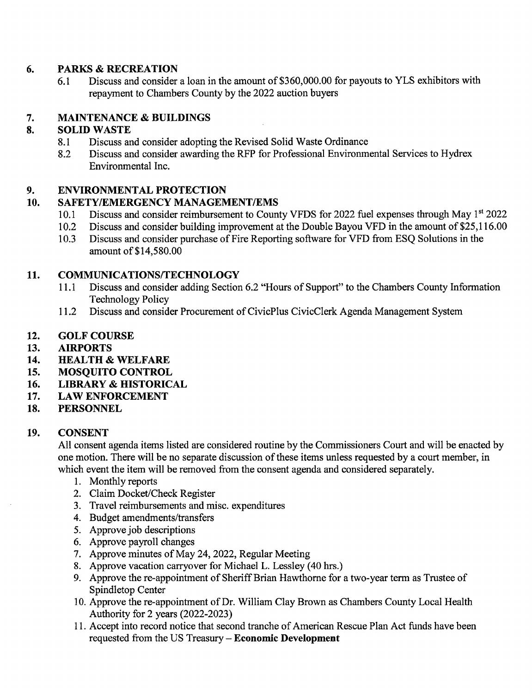#### 6. PARKS & RECREATION

6.1 Discuss and consider a loan in the amount of \$360,000.00 for payouts to YLS exhibitors with repayment to Chambers County by the 2022 auction buyers

## 7. MAINTENANCE & BUILDINGS

## 8. SOLID WASTE

- 8.1 Discuss and consider adopting the Revised Solid Waste Ordinance
- 8.2 Discuss and consider awarding the RFP for Professional Environmental Services to Hydrex Environmental Inc.

## 9. ENVIRONMENTAL PROTECTION

## 10. SAFETY/EMERGENCY MANAGEMENT/EMS

- 10.1 Discuss and consider reimbursement to County VFDS for 2022 fuel expenses through May 1<sup>st</sup> 2022<br>10.2 Discuss and consider building improvement at the Double Bayou VFD in the amount of \$25,116.00
- Discuss and consider building improvement at the Double Bayou VFD in the amount of \$25,116.00
- 10.3 Discuss and consider purchase of Fire Reporting software for VFD from ESQ Solutions in the amount of \$14,580.00

#### 11. COMMUNICATIONS/TECHNOLOGY

- 11.1 Discuss and consider adding Section 6.2 "Hours of Support" to the Chambers County Information Technology Policy
- 11.2 Discuss and consider Procurement of CivicPlus CivicClerk Agenda Management System

#### 12. GOLF COURSE

- 13. AIRPORTS
- 14. HEALTH & WELFARE
- 15. MOSQUITO CONTROL
- 16. LIBRARY & HISTORICAL
- 17. LAW ENFORCEMENT
- 18. PERSONNEL

#### 19. CONSENT

All consent agenda items listed are considered routine by the Commissioners Court and will be enacted by one motion. There will be no separate discussion of these items unless requested by a court member, in which event the item will be removed from the consent agenda and considered separately.

- 1. Monthly reports
- 2. Claim Docket/Check Register
- 3. Travel reimbursements and misc. expenditures
- 4. Budget amendments/transfers
- 5. Approve job descriptions
- 6. Approve payroll changes
- 7. Approve minutes of May 24, 2022, Regular Meeting
- 8. Approve vacation carryover for Michael L. Lessley (40 hrs.)
- 9. Approve the re-appointment of Sheriff Brian Hawthorne for a two-year term as Trustee of Spindletop Center
- 10. Approve the re-appointment of Dr. William Clay Brown as Chambers County Local Health Authority for 2 years (2022-2023)
- 11. Accept into record notice that second tranche of American Rescue Plan Act funds have been requested from the US Treasury — Economic Development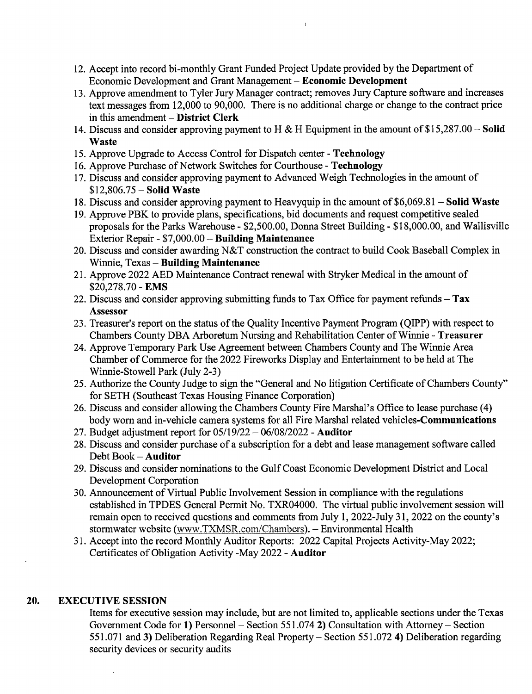- 12. Accept into record bi-monthly Grant Funded Project Update provided by the Department of Economic Development and Grant Management — Economic Development
- 13. Approve amendment to Tyler Jury Manager contract; removes Jury Capture software and increases text messages from 12,000 to 90,000. There is no additional charge or change to the contract price in this amendment — District Clerk
- 14. Discuss and consider approving payment to H & H Equipment in the amount of \$15,287.00 Solid **Waste**
- 15. Approve Upgrade to Access Control for Dispatch center Technology
- 16. Approve Purchase of Network Switches for Courthouse Technology
- 17. Discuss and consider approving payment to Advanced Weigh Technologies in the amount of \$12,806.75 — Solid Waste
- 18. Discuss and consider approving payment to Heavyquip in the amount of \$6,069.81 Solid Waste
- 19. Approve PBK to provide plans, specifications, bid documents and request competitive sealed proposals for the Parks Warehouse - \$2,500.00, Donna Street Building - \$18,000.00, and Wallisville Exterior Repair - \$7,000.00 - Building Maintenance
- 20. Discuss and consider awarding N&T construction the contract to build Cook Baseball Complex in Winnie, Texas — Building Maintenance
- 21. Approve 2022 AED Maintenance Contract renewal with Stryker Medical in the amount of \$20,278.70 - EMS
- 22. Discuss and consider approving submitting funds to Tax Office for payment refunds Tax Assessor
- 23. Treasurer's report on the status of the Quality Incentive Payment Program (QIPP) with respect to Chambers County DBA Arboretum Nursing and Rehabilitation Center of Winnie - Treasurer
- 24. Approve Temporary Park Use Agreement between Chambers County and The Winnie Area Chamber of Commerce for the 2022 Fireworks Display and Entertainment to be held at The Winnie-Stowell Park (July 2-3)
- 25. Authorize the County Judge to sign the "General and No litigation Certificate of Chambers County" for SETH (Southeast Texas Housing Finance Corporation)
- 26. Discuss and consider allowing the Chambers County Fire Marshal's Office to lease purchase (4) body worn and in-vehicle camera systems for all Fire Marshal related vehicles-Communications
- 27. Budget adjustment report for 05/19/22 06/08/2022 Auditor
- 28. Discuss and consider purchase of a subscription for a debt and lease management software called Debt Book — Auditor
- 29. Discuss and consider nominations to the Gulf Coast Economic Development District and Local Development Corporation
- 30. Announcement of Virtual Public Involvement Session in compliance with the regulations established in TPDES General Permit No. TXR04000. The virtual public involvement session will remain open to received questions and comments from July 1, 2022-July 31, 2022 on the county's stormwater website (www.TXMSR.com/Chambers). — Environmental Health
- 31. Accept into the record Monthly Auditor Reports: 2022 Capital Projects Activity-May 2022; Certificates of Obligation Activity -May 2022 - Auditor

#### 20. EXECUTIVE SESSION

Items for executive session may include, but are not limited to, applicable sections under the Texas Government Code for 1) Personnel — Section 551.074 2) Consultation with Attorney — Section 551.071 and 3) Deliberation Regarding Real Property — Section 551.072 4) Deliberation regarding security devices or security audits